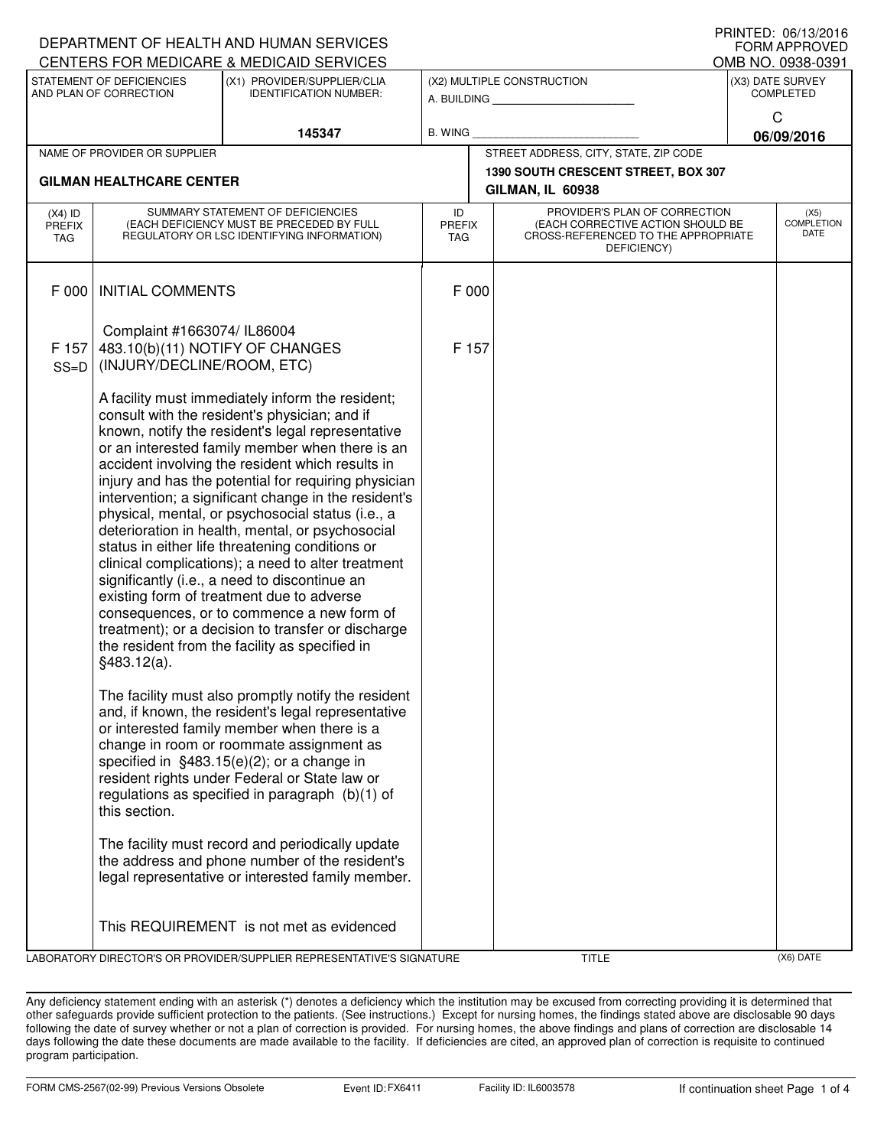| DEPARTMENT OF HEALTH AND HUMAN SERVICES<br><b>FORM APPROVED</b>                                                     |                                                                                                                                                                                                                                                                                                                                                                                                                                                                                                                                                                                                                                                                                                                                                                                                                                                                    |                                                                                                                                                                                                                                                                                                                                                           |                |                                                                                                                                                  |                                                         |                 |                                          |  |
|---------------------------------------------------------------------------------------------------------------------|--------------------------------------------------------------------------------------------------------------------------------------------------------------------------------------------------------------------------------------------------------------------------------------------------------------------------------------------------------------------------------------------------------------------------------------------------------------------------------------------------------------------------------------------------------------------------------------------------------------------------------------------------------------------------------------------------------------------------------------------------------------------------------------------------------------------------------------------------------------------|-----------------------------------------------------------------------------------------------------------------------------------------------------------------------------------------------------------------------------------------------------------------------------------------------------------------------------------------------------------|----------------|--------------------------------------------------------------------------------------------------------------------------------------------------|---------------------------------------------------------|-----------------|------------------------------------------|--|
|                                                                                                                     |                                                                                                                                                                                                                                                                                                                                                                                                                                                                                                                                                                                                                                                                                                                                                                                                                                                                    | CENTERS FOR MEDICARE & MEDICAID SERVICES                                                                                                                                                                                                                                                                                                                  |                |                                                                                                                                                  |                                                         |                 | OMB NO. 0938-0391                        |  |
| STATEMENT OF DEFICIENCIES<br>(X1) PROVIDER/SUPPLIER/CLIA<br>AND PLAN OF CORRECTION<br><b>IDENTIFICATION NUMBER:</b> |                                                                                                                                                                                                                                                                                                                                                                                                                                                                                                                                                                                                                                                                                                                                                                                                                                                                    |                                                                                                                                                                                                                                                                                                                                                           |                | (X2) MULTIPLE CONSTRUCTION<br>A. BUILDING <b>A.</b> BUILDING                                                                                     | (X3) DATE SURVEY<br><b>COMPLETED</b>                    |                 |                                          |  |
| 145347                                                                                                              |                                                                                                                                                                                                                                                                                                                                                                                                                                                                                                                                                                                                                                                                                                                                                                                                                                                                    |                                                                                                                                                                                                                                                                                                                                                           | <b>B. WING</b> |                                                                                                                                                  |                                                         | C<br>06/09/2016 |                                          |  |
|                                                                                                                     | NAME OF PROVIDER OR SUPPLIER                                                                                                                                                                                                                                                                                                                                                                                                                                                                                                                                                                                                                                                                                                                                                                                                                                       |                                                                                                                                                                                                                                                                                                                                                           |                |                                                                                                                                                  | STREET ADDRESS, CITY, STATE, ZIP CODE                   |                 |                                          |  |
|                                                                                                                     | <b>GILMAN HEALTHCARE CENTER</b>                                                                                                                                                                                                                                                                                                                                                                                                                                                                                                                                                                                                                                                                                                                                                                                                                                    |                                                                                                                                                                                                                                                                                                                                                           |                |                                                                                                                                                  | 1390 SOUTH CRESCENT STREET, BOX 307<br>GILMAN, IL 60938 |                 |                                          |  |
| $(X4)$ ID<br>PREFIX<br>TAG                                                                                          | SUMMARY STATEMENT OF DEFICIENCIES<br>(EACH DEFICIENCY MUST BE PRECEDED BY FULL<br>REGULATORY OR LSC IDENTIFYING INFORMATION)                                                                                                                                                                                                                                                                                                                                                                                                                                                                                                                                                                                                                                                                                                                                       |                                                                                                                                                                                                                                                                                                                                                           | ID             | PROVIDER'S PLAN OF CORRECTION<br>(EACH CORRECTIVE ACTION SHOULD BE<br><b>PREFIX</b><br>CROSS-REFERENCED TO THE APPROPRIATE<br>TAG<br>DEFICIENCY) |                                                         |                 | (X5)<br><b>COMPLETION</b><br><b>DATE</b> |  |
| F 000                                                                                                               | <b>INITIAL COMMENTS</b>                                                                                                                                                                                                                                                                                                                                                                                                                                                                                                                                                                                                                                                                                                                                                                                                                                            |                                                                                                                                                                                                                                                                                                                                                           |                | F 000                                                                                                                                            |                                                         |                 |                                          |  |
| F 157<br>$SS=D$                                                                                                     | Complaint #1663074/ IL86004<br>483.10(b)(11) NOTIFY OF CHANGES<br>(INJURY/DECLINE/ROOM, ETC)                                                                                                                                                                                                                                                                                                                                                                                                                                                                                                                                                                                                                                                                                                                                                                       |                                                                                                                                                                                                                                                                                                                                                           |                | F 157                                                                                                                                            |                                                         |                 |                                          |  |
|                                                                                                                     | A facility must immediately inform the resident;<br>consult with the resident's physician; and if<br>known, notify the resident's legal representative<br>or an interested family member when there is an<br>accident involving the resident which results in<br>injury and has the potential for requiring physician<br>intervention; a significant change in the resident's<br>physical, mental, or psychosocial status (i.e., a<br>deterioration in health, mental, or psychosocial<br>status in either life threatening conditions or<br>clinical complications); a need to alter treatment<br>significantly (i.e., a need to discontinue an<br>existing form of treatment due to adverse<br>consequences, or to commence a new form of<br>treatment); or a decision to transfer or discharge<br>the resident from the facility as specified in<br>§483.12(a). |                                                                                                                                                                                                                                                                                                                                                           |                |                                                                                                                                                  |                                                         |                 |                                          |  |
|                                                                                                                     | this section.                                                                                                                                                                                                                                                                                                                                                                                                                                                                                                                                                                                                                                                                                                                                                                                                                                                      | The facility must also promptly notify the resident<br>and, if known, the resident's legal representative<br>or interested family member when there is a<br>change in room or roommate assignment as<br>specified in $§483.15(e)(2)$ ; or a change in<br>resident rights under Federal or State law or<br>regulations as specified in paragraph (b)(1) of |                |                                                                                                                                                  |                                                         |                 |                                          |  |
|                                                                                                                     |                                                                                                                                                                                                                                                                                                                                                                                                                                                                                                                                                                                                                                                                                                                                                                                                                                                                    | The facility must record and periodically update<br>the address and phone number of the resident's<br>legal representative or interested family member.                                                                                                                                                                                                   |                |                                                                                                                                                  |                                                         |                 |                                          |  |
|                                                                                                                     |                                                                                                                                                                                                                                                                                                                                                                                                                                                                                                                                                                                                                                                                                                                                                                                                                                                                    | This REQUIREMENT is not met as evidenced                                                                                                                                                                                                                                                                                                                  |                |                                                                                                                                                  |                                                         |                 |                                          |  |
|                                                                                                                     |                                                                                                                                                                                                                                                                                                                                                                                                                                                                                                                                                                                                                                                                                                                                                                                                                                                                    | LABORATORY DIRECTOR'S OR PROVIDER/SUPPLIER REPRESENTATIVE'S SIGNATURE                                                                                                                                                                                                                                                                                     |                |                                                                                                                                                  | <b>TITLE</b>                                            |                 | (X6) DATE                                |  |

Any deficiency statement ending with an asterisk (\*) denotes a deficiency which the institution may be excused from correcting providing it is determined that other safeguards provide sufficient protection to the patients. (See instructions.) Except for nursing homes, the findings stated above are disclosable 90 days following the date of survey whether or not a plan of correction is provided. For nursing homes, the above findings and plans of correction are disclosable 14 days following the date these documents are made available to the facility. If deficiencies are cited, an approved plan of correction is requisite to continued program participation.

PRINTED: 06/13/2016  $\overline{O}$  $\overline{O}$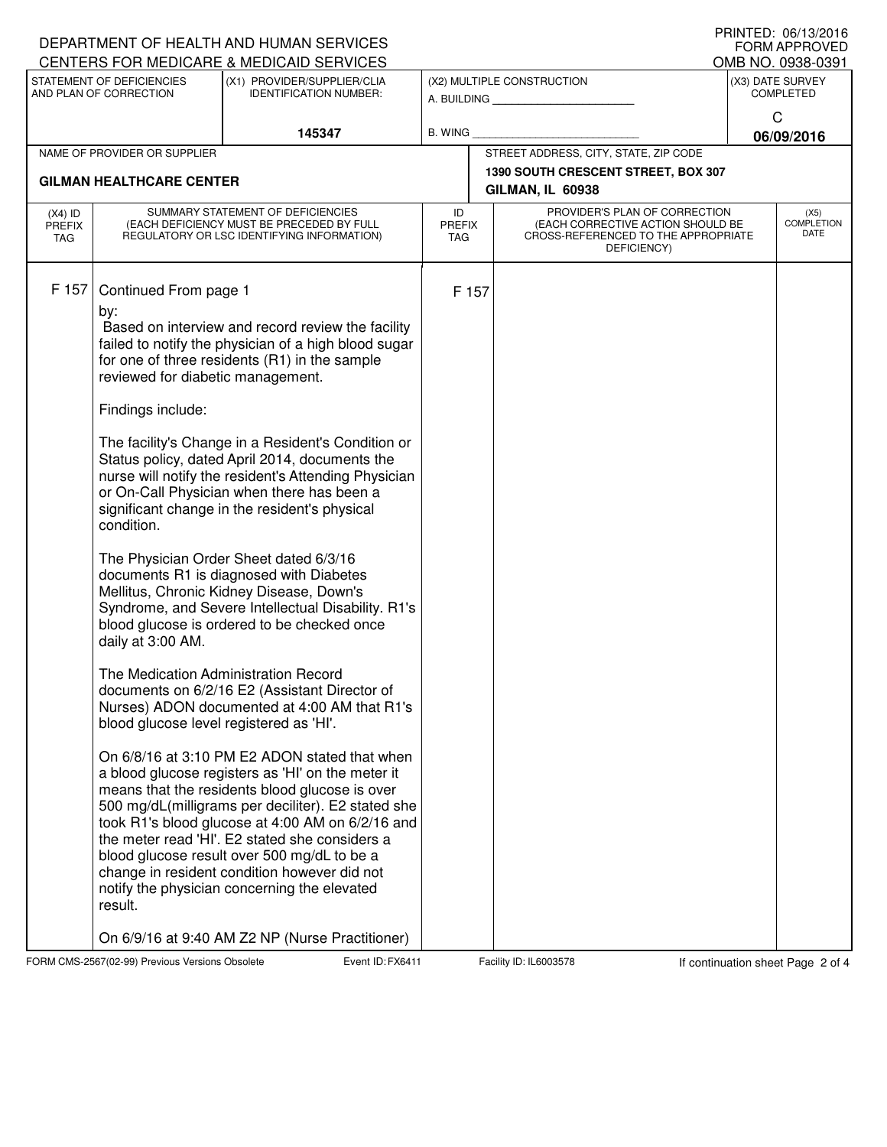|                                                     |                                                                                                                                                                                                                         | DEPARTMENT OF HEALTH AND HUMAN SERVICES                                                                                                                                                                                                                                                                                                                                                                                                                                                                                                                                                                                                                                                                                                                                                                                                                                                                                                                                                                                                                                                                                                                                                                                                                                                |                                           |                                                         |                                                                                                                          |                                      | U ININTED. VV/IJ/ZVIV<br>FORM APPROVED |  |  |  |
|-----------------------------------------------------|-------------------------------------------------------------------------------------------------------------------------------------------------------------------------------------------------------------------------|----------------------------------------------------------------------------------------------------------------------------------------------------------------------------------------------------------------------------------------------------------------------------------------------------------------------------------------------------------------------------------------------------------------------------------------------------------------------------------------------------------------------------------------------------------------------------------------------------------------------------------------------------------------------------------------------------------------------------------------------------------------------------------------------------------------------------------------------------------------------------------------------------------------------------------------------------------------------------------------------------------------------------------------------------------------------------------------------------------------------------------------------------------------------------------------------------------------------------------------------------------------------------------------|-------------------------------------------|---------------------------------------------------------|--------------------------------------------------------------------------------------------------------------------------|--------------------------------------|----------------------------------------|--|--|--|
|                                                     |                                                                                                                                                                                                                         | CENTERS FOR MEDICARE & MEDICAID SERVICES                                                                                                                                                                                                                                                                                                                                                                                                                                                                                                                                                                                                                                                                                                                                                                                                                                                                                                                                                                                                                                                                                                                                                                                                                                               |                                           |                                                         |                                                                                                                          | OMB NO. 0938-0391                    |                                        |  |  |  |
| STATEMENT OF DEFICIENCIES<br>AND PLAN OF CORRECTION |                                                                                                                                                                                                                         | (X1) PROVIDER/SUPPLIER/CLIA<br><b>IDENTIFICATION NUMBER:</b>                                                                                                                                                                                                                                                                                                                                                                                                                                                                                                                                                                                                                                                                                                                                                                                                                                                                                                                                                                                                                                                                                                                                                                                                                           | (X2) MULTIPLE CONSTRUCTION<br>A. BUILDING |                                                         |                                                                                                                          | (X3) DATE SURVEY<br><b>COMPLETED</b> |                                        |  |  |  |
|                                                     |                                                                                                                                                                                                                         | 145347<br>B. WING                                                                                                                                                                                                                                                                                                                                                                                                                                                                                                                                                                                                                                                                                                                                                                                                                                                                                                                                                                                                                                                                                                                                                                                                                                                                      |                                           |                                                         |                                                                                                                          | C<br>06/09/2016                      |                                        |  |  |  |
|                                                     | NAME OF PROVIDER OR SUPPLIER                                                                                                                                                                                            |                                                                                                                                                                                                                                                                                                                                                                                                                                                                                                                                                                                                                                                                                                                                                                                                                                                                                                                                                                                                                                                                                                                                                                                                                                                                                        |                                           |                                                         | STREET ADDRESS, CITY, STATE, ZIP CODE                                                                                    |                                      |                                        |  |  |  |
|                                                     | <b>GILMAN HEALTHCARE CENTER</b>                                                                                                                                                                                         |                                                                                                                                                                                                                                                                                                                                                                                                                                                                                                                                                                                                                                                                                                                                                                                                                                                                                                                                                                                                                                                                                                                                                                                                                                                                                        |                                           | 1390 SOUTH CRESCENT STREET, BOX 307<br>GILMAN, IL 60938 |                                                                                                                          |                                      |                                        |  |  |  |
| $(X4)$ ID<br>PREFIX<br><b>TAG</b>                   | SUMMARY STATEMENT OF DEFICIENCIES<br>(EACH DEFICIENCY MUST BE PRECEDED BY FULL<br>REGULATORY OR LSC IDENTIFYING INFORMATION)                                                                                            |                                                                                                                                                                                                                                                                                                                                                                                                                                                                                                                                                                                                                                                                                                                                                                                                                                                                                                                                                                                                                                                                                                                                                                                                                                                                                        |                                           | <b>PREFIX</b><br><b>TAG</b>                             | PROVIDER'S PLAN OF CORRECTION<br>(EACH CORRECTIVE ACTION SHOULD BE<br>CROSS-REFERENCED TO THE APPROPRIATE<br>DEFICIENCY) |                                      | (X5)<br><b>COMPLETION</b><br>DATE      |  |  |  |
| F 157                                               | Continued From page 1<br>by:<br>reviewed for diabetic management.<br>Findings include:<br>condition.<br>daily at 3:00 AM.<br>The Medication Administration Record<br>blood glucose level registered as 'HI'.<br>result. | Based on interview and record review the facility<br>failed to notify the physician of a high blood sugar<br>for one of three residents (R1) in the sample<br>The facility's Change in a Resident's Condition or<br>Status policy, dated April 2014, documents the<br>nurse will notify the resident's Attending Physician<br>or On-Call Physician when there has been a<br>significant change in the resident's physical<br>The Physician Order Sheet dated 6/3/16<br>documents R1 is diagnosed with Diabetes<br>Mellitus, Chronic Kidney Disease, Down's<br>Syndrome, and Severe Intellectual Disability. R1's<br>blood glucose is ordered to be checked once<br>documents on 6/2/16 E2 (Assistant Director of<br>Nurses) ADON documented at 4:00 AM that R1's<br>On 6/8/16 at 3:10 PM E2 ADON stated that when<br>a blood glucose registers as 'HI' on the meter it<br>means that the residents blood glucose is over<br>500 mg/dL(milligrams per deciliter). E2 stated she<br>took R1's blood glucose at 4:00 AM on 6/2/16 and<br>the meter read 'HI'. E2 stated she considers a<br>blood glucose result over 500 mg/dL to be a<br>change in resident condition however did not<br>notify the physician concerning the elevated<br>On 6/9/16 at 9:40 AM Z2 NP (Nurse Practitioner) |                                           | F 157                                                   |                                                                                                                          |                                      |                                        |  |  |  |

FORM CMS-2567(02-99) Previous Versions Obsolete FXeent ID: FX6411 Facility ID: IL6003578 If continuation sheet Page 2 of 4

PRINTED: 06/13/2016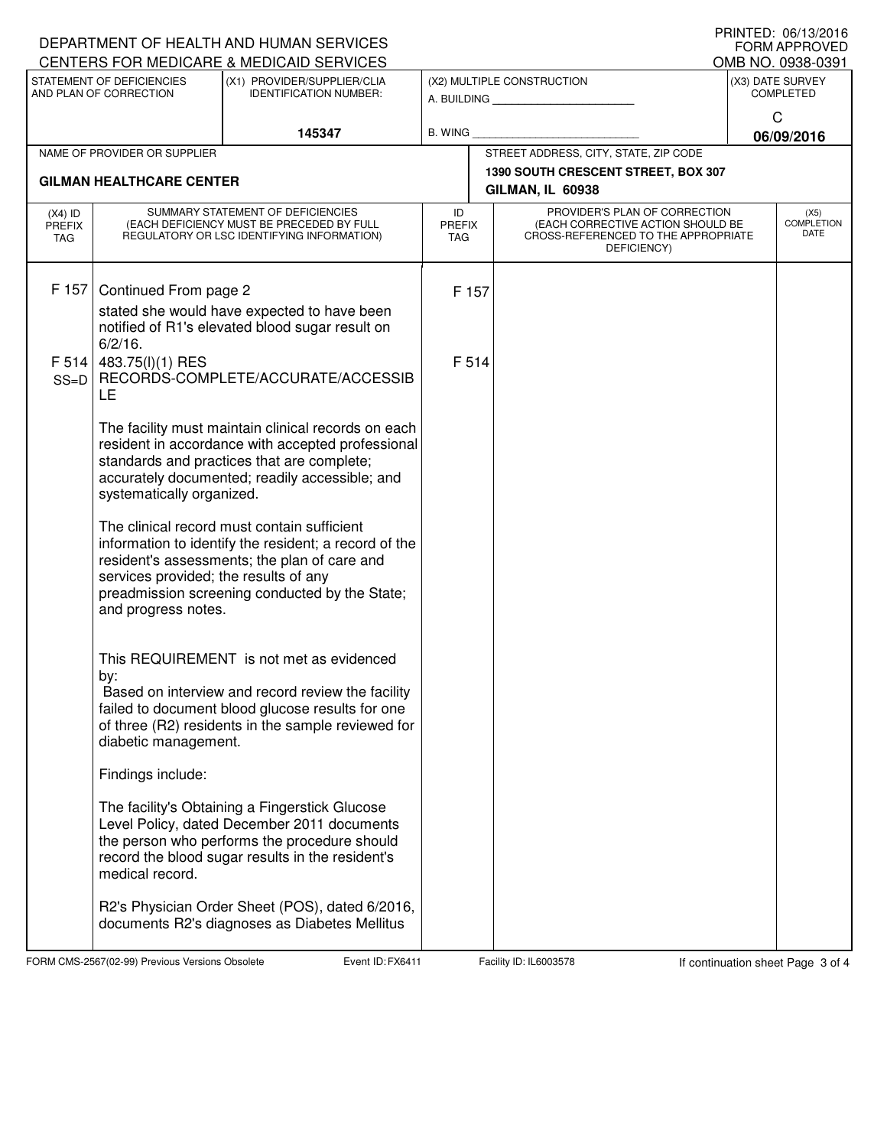| U INIVIL D. VO/IJ/ZUIV<br>DEPARTMENT OF HEALTH AND HUMAN SERVICES<br>FORM APPROVED<br>CENTERS FOR MEDICARE & MEDICAID SERVICES |                                                                                                                              |                                                                                                                                                                                                                                                                                                                                                                                                                    |                |                                           |                                                                                                                          |                   |                                   |  |
|--------------------------------------------------------------------------------------------------------------------------------|------------------------------------------------------------------------------------------------------------------------------|--------------------------------------------------------------------------------------------------------------------------------------------------------------------------------------------------------------------------------------------------------------------------------------------------------------------------------------------------------------------------------------------------------------------|----------------|-------------------------------------------|--------------------------------------------------------------------------------------------------------------------------|-------------------|-----------------------------------|--|
|                                                                                                                                |                                                                                                                              |                                                                                                                                                                                                                                                                                                                                                                                                                    |                |                                           |                                                                                                                          | OMB NO. 0938-0391 |                                   |  |
| STATEMENT OF DEFICIENCIES<br>(X1) PROVIDER/SUPPLIER/CLIA<br>AND PLAN OF CORRECTION<br><b>IDENTIFICATION NUMBER:</b>            |                                                                                                                              |                                                                                                                                                                                                                                                                                                                                                                                                                    |                | (X2) MULTIPLE CONSTRUCTION<br>A. BUILDING | (X3) DATE SURVEY<br><b>COMPLETED</b>                                                                                     |                   |                                   |  |
|                                                                                                                                |                                                                                                                              |                                                                                                                                                                                                                                                                                                                                                                                                                    |                |                                           |                                                                                                                          | C                 |                                   |  |
|                                                                                                                                |                                                                                                                              | 145347                                                                                                                                                                                                                                                                                                                                                                                                             | B. WING        |                                           |                                                                                                                          | 06/09/2016        |                                   |  |
|                                                                                                                                | NAME OF PROVIDER OR SUPPLIER                                                                                                 |                                                                                                                                                                                                                                                                                                                                                                                                                    |                |                                           | STREET ADDRESS, CITY, STATE, ZIP CODE                                                                                    |                   |                                   |  |
|                                                                                                                                | <b>GILMAN HEALTHCARE CENTER</b>                                                                                              |                                                                                                                                                                                                                                                                                                                                                                                                                    |                |                                           | 1390 SOUTH CRESCENT STREET, BOX 307<br>GILMAN, IL 60938                                                                  |                   |                                   |  |
| $(X4)$ ID<br>PREFIX<br><b>TAG</b>                                                                                              | SUMMARY STATEMENT OF DEFICIENCIES<br>(EACH DEFICIENCY MUST BE PRECEDED BY FULL<br>REGULATORY OR LSC IDENTIFYING INFORMATION) |                                                                                                                                                                                                                                                                                                                                                                                                                    |                | <b>PREFIX</b>                             | PROVIDER'S PLAN OF CORRECTION<br>(EACH CORRECTIVE ACTION SHOULD BE<br>CROSS-REFERENCED TO THE APPROPRIATE<br>DEFICIENCY) |                   | (X5)<br><b>COMPLETION</b><br>DATE |  |
| F 157<br>F 514<br>$SS=D$                                                                                                       | Continued From page 2<br>$6/2/16$ .<br>483.75(l)(1) RES<br>LE                                                                | stated she would have expected to have been<br>notified of R1's elevated blood sugar result on<br>RECORDS-COMPLETE/ACCURATE/ACCESSIB                                                                                                                                                                                                                                                                               | F 157<br>F 514 |                                           |                                                                                                                          |                   |                                   |  |
|                                                                                                                                | systematically organized.<br>services provided; the results of any<br>and progress notes.                                    | The facility must maintain clinical records on each<br>resident in accordance with accepted professional<br>standards and practices that are complete;<br>accurately documented; readily accessible; and<br>The clinical record must contain sufficient<br>information to identify the resident; a record of the<br>resident's assessments; the plan of care and<br>preadmission screening conducted by the State; |                |                                           |                                                                                                                          |                   |                                   |  |
|                                                                                                                                | by:<br>diabetic management.                                                                                                  | This REQUIREMENT is not met as evidenced<br>Based on interview and record review the facility<br>failed to document blood glucose results for one<br>of three (R2) residents in the sample reviewed for                                                                                                                                                                                                            |                |                                           |                                                                                                                          |                   |                                   |  |
|                                                                                                                                | Findings include:                                                                                                            |                                                                                                                                                                                                                                                                                                                                                                                                                    |                |                                           |                                                                                                                          |                   |                                   |  |
|                                                                                                                                | medical record.                                                                                                              | The facility's Obtaining a Fingerstick Glucose<br>Level Policy, dated December 2011 documents<br>the person who performs the procedure should<br>record the blood sugar results in the resident's                                                                                                                                                                                                                  |                |                                           |                                                                                                                          |                   |                                   |  |
|                                                                                                                                |                                                                                                                              | R2's Physician Order Sheet (POS), dated 6/2016,<br>documents R2's diagnoses as Diabetes Mellitus                                                                                                                                                                                                                                                                                                                   |                |                                           |                                                                                                                          |                   |                                   |  |

FORM CMS-2567(02-99) Previous Versions Obsolete FXeent ID: FX6411 Facility ID: IL6003578 If continuation sheet Page 3 of 4

PRINTED: 06/13/2016